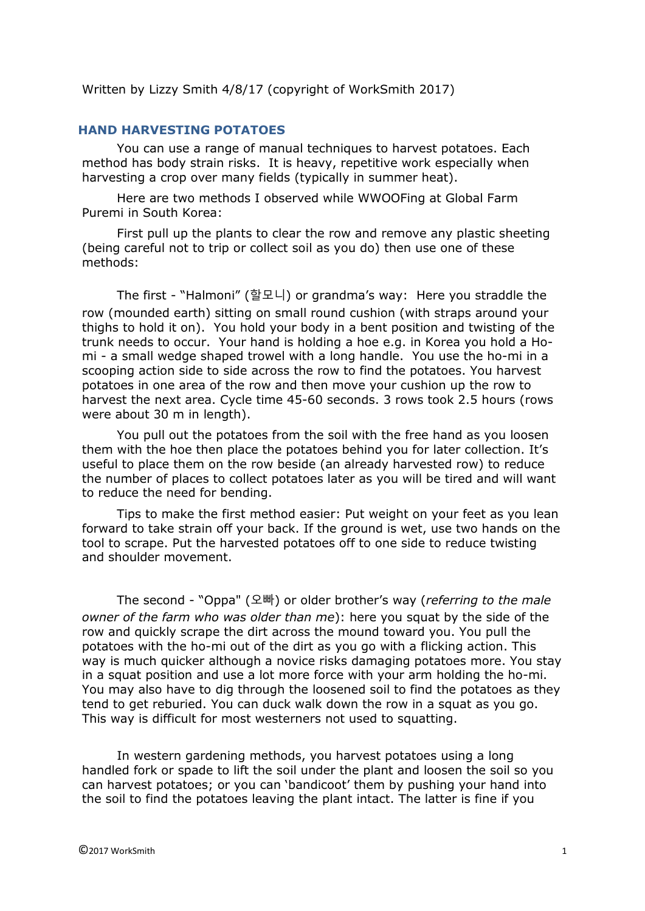Written by Lizzy Smith 4/8/17 (copyright of WorkSmith 2017)

## **HAND HARVESTING POTATOES**

You can use a range of manual techniques to harvest potatoes. Each method has body strain risks. It is heavy, repetitive work especially when harvesting a crop over many fields (typically in summer heat).

Here are two methods I observed while WWOOFing at Global Farm Puremi in South Korea:

First pull up the plants to clear the row and remove any plastic sheeting (being careful not to trip or collect soil as you do) then use one of these methods:

The first - "Halmoni" (할모니) or grandma's way: Here you straddle the row (mounded earth) sitting on small round cushion (with straps around your thighs to hold it on). You hold your body in a bent position and twisting of the trunk needs to occur. Your hand is holding a hoe e.g. in Korea you hold a Homi - a small wedge shaped trowel with a long handle. You use the ho-mi in a scooping action side to side across the row to find the potatoes. You harvest potatoes in one area of the row and then move your cushion up the row to harvest the next area. Cycle time 45-60 seconds. 3 rows took 2.5 hours (rows were about 30 m in length).

You pull out the potatoes from the soil with the free hand as you loosen them with the hoe then place the potatoes behind you for later collection. It's useful to place them on the row beside (an already harvested row) to reduce the number of places to collect potatoes later as you will be tired and will want to reduce the need for bending.

Tips to make the first method easier: Put weight on your feet as you lean forward to take strain off your back. If the ground is wet, use two hands on the tool to scrape. Put the harvested potatoes off to one side to reduce twisting and shoulder movement.

The second - "Oppa" (오빠) or older brother's way (*referring to the male owner of the farm who was older than me*): here you squat by the side of the row and quickly scrape the dirt across the mound toward you. You pull the potatoes with the ho-mi out of the dirt as you go with a flicking action. This way is much quicker although a novice risks damaging potatoes more. You stay in a squat position and use a lot more force with your arm holding the ho-mi. You may also have to dig through the loosened soil to find the potatoes as they tend to get reburied. You can duck walk down the row in a squat as you go. This way is difficult for most westerners not used to squatting.

In western gardening methods, you harvest potatoes using a long handled fork or spade to lift the soil under the plant and loosen the soil so you can harvest potatoes; or you can 'bandicoot' them by pushing your hand into the soil to find the potatoes leaving the plant intact. The latter is fine if you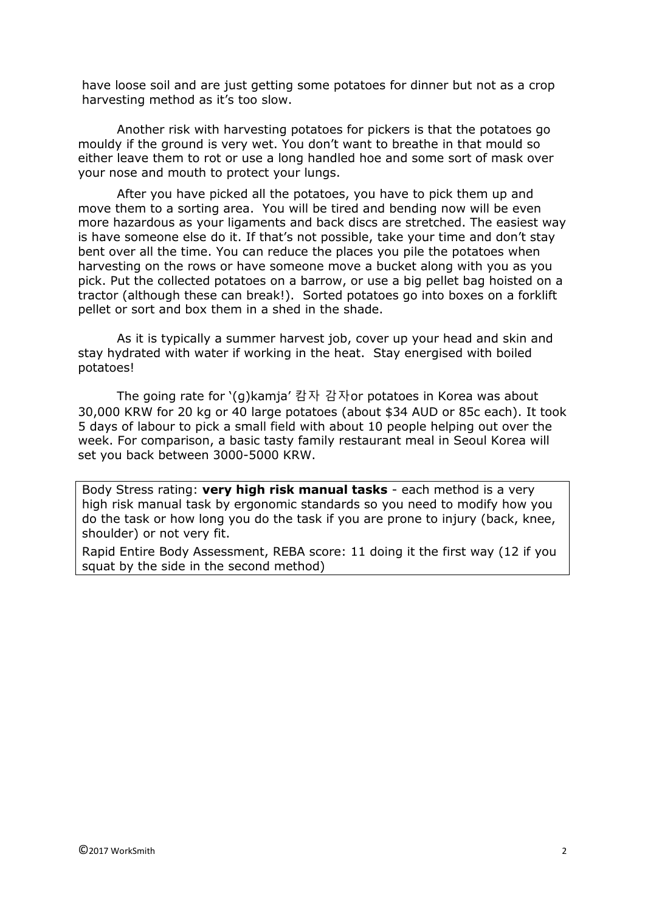have loose soil and are just getting some potatoes for dinner but not as a crop harvesting method as it's too slow.

Another risk with harvesting potatoes for pickers is that the potatoes go mouldy if the ground is very wet. You don't want to breathe in that mould so either leave them to rot or use a long handled hoe and some sort of mask over your nose and mouth to protect your lungs.

After you have picked all the potatoes, you have to pick them up and move them to a sorting area. You will be tired and bending now will be even more hazardous as your ligaments and back discs are stretched. The easiest way is have someone else do it. If that's not possible, take your time and don't stay bent over all the time. You can reduce the places you pile the potatoes when harvesting on the rows or have someone move a bucket along with you as you pick. Put the collected potatoes on a barrow, or use a big pellet bag hoisted on a tractor (although these can break!). Sorted potatoes go into boxes on a forklift pellet or sort and box them in a shed in the shade.

As it is typically a summer harvest job, cover up your head and skin and stay hydrated with water if working in the heat. Stay energised with boiled potatoes!

The going rate for '(g)kamja' 캄자 감자or potatoes in Korea was about 30,000 KRW for 20 kg or 40 large potatoes (about \$34 AUD or 85c each). It took 5 days of labour to pick a small field with about 10 people helping out over the week. For comparison, a basic tasty family restaurant meal in Seoul Korea will set you back between 3000-5000 KRW.

Body Stress rating: **very high risk manual tasks** - each method is a very high risk manual task by ergonomic standards so you need to modify how you do the task or how long you do the task if you are prone to injury (back, knee, shoulder) or not very fit.

Rapid Entire Body Assessment, REBA score: 11 doing it the first way (12 if you squat by the side in the second method)